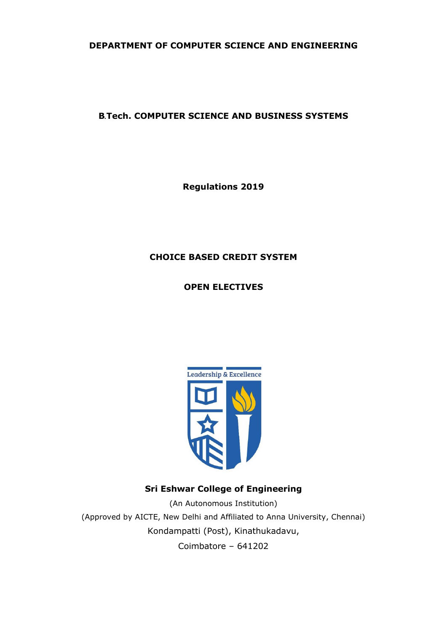# **DEPARTMENT OF COMPUTER SCIENCE AND ENGINEERING**

# **B***.***Tech. COMPUTER SCIENCE AND BUSINESS SYSTEMS**

**Regulations 2019**

# **CHOICE BASED CREDIT SYSTEM**

**OPEN ELECTIVES**



# **Sri Eshwar College of Engineering**

(An Autonomous Institution) (Approved by AICTE, New Delhi and Affiliated to Anna University, Chennai) Kondampatti (Post), Kinathukadavu, Coimbatore – 641202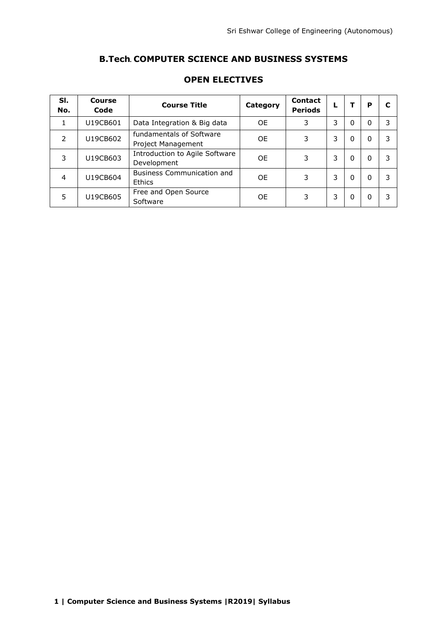# **B.Tech***.* **COMPUTER SCIENCE AND BUSINESS SYSTEMS**

| SI.<br>No.    | Course<br>Code | <b>Course Title</b>                                | Category  | <b>Contact</b><br><b>Periods</b> | L |   | Р |   |
|---------------|----------------|----------------------------------------------------|-----------|----------------------------------|---|---|---|---|
|               | U19CB601       | Data Integration & Big data                        | <b>OE</b> | 3                                | 3 | 0 | 0 | 3 |
| $\mathcal{P}$ | U19CB602       | fundamentals of Software<br>Project Management     | <b>OE</b> | 3                                | 3 | 0 | 0 | 3 |
| 3             | U19CB603       | Introduction to Agile Software<br>Development      | <b>OE</b> | 3                                | 3 | 0 | 0 | 3 |
| 4             | U19CB604       | <b>Business Communication and</b><br><b>Ethics</b> | 0E        | 3                                | 3 | 0 | 0 | 3 |
| 5             | U19CB605       | Free and Open Source<br>Software                   | OE        | 3                                | 3 | 0 | 0 | 3 |

# **OPEN ELECTIVES**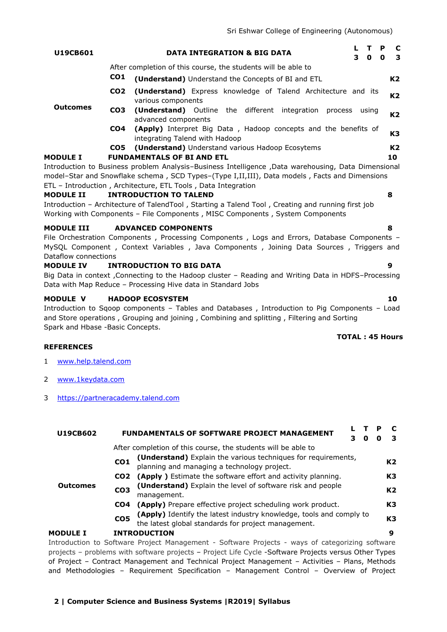| <b>U19CB601</b>   |                 | <b>DATA INTEGRATION &amp; BIG DATA</b><br>30                                                                                                                                       | P<br>$\Omega$ | C<br>3         |
|-------------------|-----------------|------------------------------------------------------------------------------------------------------------------------------------------------------------------------------------|---------------|----------------|
|                   |                 | After completion of this course, the students will be able to                                                                                                                      |               |                |
|                   | CO <sub>1</sub> | (Understand) Understand the Concepts of BI and ETL                                                                                                                                 |               | K2             |
|                   | CO <sub>2</sub> | <b>(Understand)</b> Express knowledge of Talend Architecture and its<br>various components                                                                                         |               | K2             |
| <b>Outcomes</b>   | CO3             | (Understand) Outline the different integration<br>process<br>usina<br>advanced components                                                                                          |               | K <sub>2</sub> |
|                   | CO4             | <b>(Apply)</b> Interpret Big Data, Hadoop concepts and the benefits of<br>integrating Talend with Hadoop                                                                           |               | K3             |
|                   | CO5             | (Understand) Understand various Hadoop Ecosytems                                                                                                                                   |               | K2             |
| <b>MODULE I</b>   |                 | <b>FUNDAMENTALS OF BI AND ETL</b>                                                                                                                                                  |               | 10             |
|                   |                 | Introduction to Business problem Analysis-Business Intelligence , Data warehousing, Data Dimensional                                                                               |               |                |
|                   |                 | model-Star and Snowflake schema, SCD Types-(Type I,II,III), Data models, Facts and Dimensions                                                                                      |               |                |
|                   |                 | ETL - Introduction, Architecture, ETL Tools, Data Integration                                                                                                                      |               |                |
| <b>MODULE II</b>  |                 | <b>INTRODUCTION TO TALEND</b>                                                                                                                                                      | 8             |                |
|                   |                 | Introduction – Architecture of TalendTool, Starting a Talend Tool, Creating and running first job<br>Working with Components - File Components, MISC Components, System Components |               |                |
| <b>MODULE III</b> |                 | <b>ADVANCED COMPONENTS</b>                                                                                                                                                         | 8             |                |

File Orchestration Components , Processing Components , Logs and Errors, Database Components – MySQL Component , Context Variables , Java Components , Joining Data Sources , Triggers and Dataflow connections

#### **MODULE IV INTRODUCTION TO BIG DATA 9**

Big Data in context ,Connecting to the Hadoop cluster – Reading and Writing Data in HDFS–Processing Data with Map Reduce – Processing Hive data in Standard Jobs

#### **MODULE V HADOOP ECOSYSTEM 10**

Introduction to Sqoop components – Tables and Databases , Introduction to Pig Components – Load and Store operations , Grouping and joining , Combining and splitting , Filtering and Sorting Spark and Hbase -Basic Concepts.

#### **REFERENCES**

- 1 [www.help.talend.com](http://www.help.talend.com/)
- 2 [www.1keydata.com](http://www.1keydata.com/)
- 3 [https://partneracademy.talend.com](https://partneracademy.talend.com/)

| U19CB602        |                                                                                              | <b>FUNDAMENTALS OF SOFTWARE PROJECT MANAGEMENT</b>                                                        | O | Р              | <b>C</b><br>3  |
|-----------------|----------------------------------------------------------------------------------------------|-----------------------------------------------------------------------------------------------------------|---|----------------|----------------|
|                 |                                                                                              | After completion of this course, the students will be able to                                             |   |                |                |
|                 | CO <sub>1</sub>                                                                              | (Understand) Explain the various techniques for requirements, planning and managing a technology project. |   |                | K <sub>2</sub> |
|                 | CO <sub>2</sub>                                                                              | (Apply) Estimate the software effort and activity planning.                                               |   |                | K3             |
| <b>Outcomes</b> | (Understand) Explain the level of software risk and people<br>CO <sub>3</sub><br>management. |                                                                                                           |   | K <sub>2</sub> |                |
|                 | CO4                                                                                          | (Apply) Prepare effective project scheduling work product.                                                |   |                | K3             |
|                 | CO <sub>5</sub><br>the latest global standards for project management.                       | (Apply) Identify the latest industry knowledge, tools and comply to                                       |   |                | K <sub>3</sub> |
| <b>MODULE I</b> | <b>INTRODUCTION</b>                                                                          |                                                                                                           |   |                | 9              |
|                 |                                                                                              |                                                                                                           |   |                |                |

Introduction to Software Project Management - Software Projects - ways of categorizing software projects – problems with software projects – Project Life Cycle -Software Projects versus Other Types of Project – Contract Management and Technical Project Management – Activities – Plans, Methods and Methodologies – Requirement Specification – Management Control – Overview of Project

# **2 | Computer Science and Business Systems |R2019| Syllabus**

# **TOTAL : 45 Hours**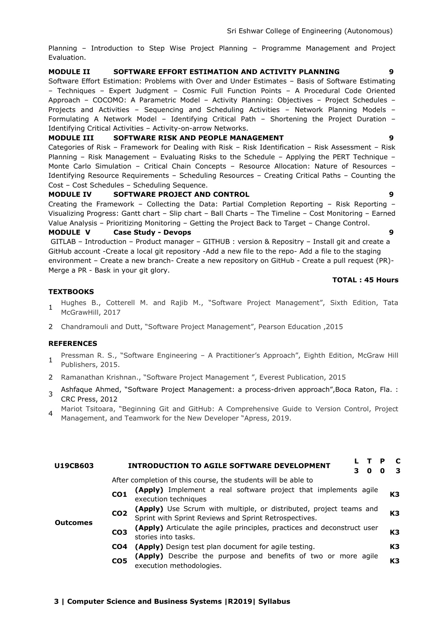Planning – Introduction to Step Wise Project Planning – Programme Management and Project Evaluation.

# **MODULE II SOFTWARE EFFORT ESTIMATION AND ACTIVITY PLANNING 9**

Software Effort Estimation: Problems with Over and Under Estimates – Basis of Software Estimating – Techniques – Expert Judgment – Cosmic Full Function Points – A Procedural Code Oriented Approach – COCOMO: A Parametric Model – Activity Planning: Objectives – Project Schedules – Projects and Activities – Sequencing and Scheduling Activities – Network Planning Models – Formulating A Network Model – Identifying Critical Path – Shortening the Project Duration – Identifying Critical Activities – Activity-on-arrow Networks.

#### **MODULE III SOFTWARE RISK AND PEOPLE MANAGEMENT 9**

Categories of Risk – Framework for Dealing with Risk – Risk Identification – Risk Assessment – Risk Planning – Risk Management – Evaluating Risks to the Schedule – Applying the PERT Technique – Monte Carlo Simulation – Critical Chain Concepts – Resource Allocation: Nature of Resources – Identifying Resource Requirements – Scheduling Resources – Creating Critical Paths – Counting the Cost – Cost Schedules – Scheduling Sequence.

### **MODULE IV SOFTWARE PROJECT AND CONTROL 9**

Creating the Framework – Collecting the Data: Partial Completion Reporting – Risk Reporting – Visualizing Progress: Gantt chart – Slip chart – Ball Charts – The Timeline – Cost Monitoring – Earned Value Analysis – Prioritizing Monitoring – Getting the Project Back to Target – Change Control.

#### **MODULE V Case Study - Devops 9**

GITLAB – Introduction – Product manager – GITHUB : version & Repositry – Install git and create a GitHub account -Create a local git repository -Add a new file to the repo- Add a file to the staging environment – Create a new branch- Create a new repository on GitHub - Create a pull request (PR)- Merge a PR - Bask in your git glory.

#### **TOTAL : 45 Hours**

#### **TEXTBOOKS**

- 1 Hughes B., Cotterell M. and Rajib M., "Software Project Management", Sixth Edition, Tata McGrawHill, 2017
- 2 [Chandramouli and Dutt](https://www.amazon.in/s/ref=dp_byline_sr_book_1?ie=UTF8&field-author=Chandramouli+%2F+Dutt&search-alias=stripbooks), "Software Project Management", Pearson Education ,2015

#### **REFERENCES**

- 1 ● Pressman R. S., "Software Engineering – A Practitioner's Approach", Eighth Edition, McGraw Hill Publishers, 2015.
- ●2 [Ramanathan Krishnan](https://www.amazon.in/s/ref=dp_byline_sr_book_1?ie=UTF8&field-author=Ramanathan+Krishnan&search-alias=stripbooks)., "Software Project Management ", Everest Publication, 2015
- 3 Ashfaque Ahmed, "Software Project Management: a process-driven approach",Boca Raton, Fla. : CRC Press, 2012
- 4 [Mariot Tsitoara](https://www.amazon.in/Mariot-Tsitoara/e/B082BFLVH4?ref=sr_ntt_srch_lnk_5&qid=1614681008&sr=1-5), "Beginning Git and GitHub: A Comprehensive Guide to Version Control, Project [Management, and Teamwork for the New Developer](https://www.amazon.in/Beginning-Git-GitHub-Comprehensive-Management/dp/1484253124/ref=sr_1_5?dchild=1&keywords=github&qid=1614681008&s=books&sr=1-5) "Apress, 2019.

| U19CB603        | - C<br><b>INTRODUCTION TO AGILE SOFTWARE DEVELOPMENT</b><br>- 3<br>O                                                                                          |
|-----------------|---------------------------------------------------------------------------------------------------------------------------------------------------------------|
|                 | After completion of this course, the students will be able to                                                                                                 |
|                 | (Apply) Implement a real software project that implements agile<br>K <sub>3</sub><br>CO <sub>1</sub><br>execution techniques                                  |
|                 | (Apply) Use Scrum with multiple, or distributed, project teams and Sprint with Sprint Reviews and Sprint Retrospectives.<br>CO <sub>2</sub><br>K <sub>3</sub> |
| <b>Outcomes</b> | (Apply) Articulate the agile principles, practices and deconstruct user<br>K <sub>3</sub><br>CO <sub>3</sub><br>stories into tasks.                           |
|                 | K <sub>3</sub><br>(Apply) Design test plan document for agile testing.<br>CO <sub>4</sub>                                                                     |
|                 | (Apply) Describe the purpose and benefits of two or more agile<br>CO <sub>5</sub><br>K <sub>3</sub><br>execution methodologies.                               |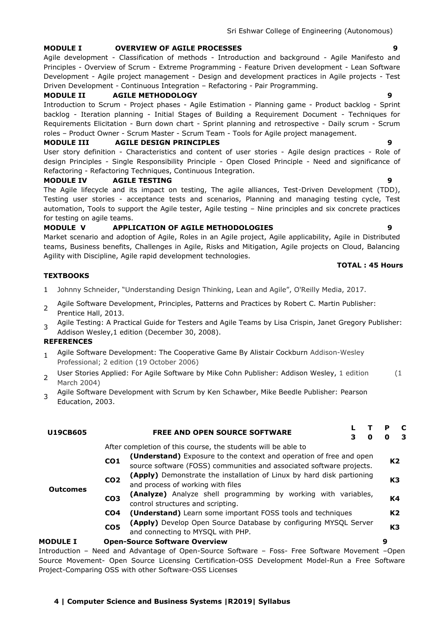#### **MODULE I OVERVIEW OF AGILE PROCESSES 9**

Agile development - Classification of methods - Introduction and background - Agile Manifesto and Principles - Overview of Scrum - Extreme Programming - Feature Driven development - Lean Software Development - Agile project management - Design and development practices in Agile projects - Test Driven Development - Continuous Integration – Refactoring - Pair Programming.

# **MODULE II AGILE METHODOLOGY 9**

Introduction to Scrum - Project phases - Agile Estimation - Planning game - Product backlog - Sprint backlog - Iteration planning - Initial Stages of Building a Requirement Document - Techniques for Requirements Elicitation - Burn down chart - Sprint planning and retrospective - Daily scrum - Scrum roles – Product Owner - Scrum Master - Scrum Team - Tools for Agile project management.

# **MODULE III AGILE DESIGN PRINCIPLES 9**

User story definition - Characteristics and content of user stories - Agile design practices - Role of design Principles - Single Responsibility Principle - Open Closed Principle - Need and significance of Refactoring - Refactoring Techniques, Continuous Integration.

#### **MODULE IV AGILE TESTING 9**

The Agile lifecycle and its impact on testing, The agile alliances, Test-Driven Development (TDD), Testing user stories - acceptance tests and scenarios, Planning and managing testing cycle, Test automation, Tools to support the Agile tester, Agile testing – Nine principles and six concrete practices for testing on agile teams.

### **MODULE V APPLICATION OF AGILE METHODOLOGIES 9**

Market scenario and adoption of Agile, Roles in an Agile project, Agile applicability, Agile in Distributed teams, Business benefits, Challenges in Agile, Risks and Mitigation, Agile projects on Cloud, Balancing Agility with Discipline, Agile rapid development technologies.

#### **TEXTBOOKS**

- 1 Johnny Schneider, "Understanding Design Thinking, Lean and Agile", O'Reilly Media, 2017.
- 2 Agile Software Development, Principles, Patterns and Practices by Robert C. Martin Publisher: Prentice Hall, 2013.
- 3 Agile Testing: A Practical Guide for Testers and Agile Teams by Lisa Crispin, Janet Gregory Publisher: Addison Wesley,1 edition (December 30, 2008).

#### **REFERENCES**

- 1 Agile Software Development: The Cooperative Game By Alistair Cockburn Addison-Wesley Professional; 2 edition (19 October 2006)
- 2 User Stories Applied: For Agile Software by Mike Cohn Publisher: Addison Wesley, 1 edition (1 March 2004)
- 3 Agile Software Development with Scrum by Ken Schawber, Mike Beedle Publisher: Pearson Education, 2003.

| <b>U19CB605</b> |                 | <b>FREE AND OPEN SOURCE SOFTWARE</b><br>0                                                                                                   | P<br>o | C<br>-3        |
|-----------------|-----------------|---------------------------------------------------------------------------------------------------------------------------------------------|--------|----------------|
|                 |                 | After completion of this course, the students will be able to                                                                               |        |                |
|                 | CO <sub>1</sub> | (Understand) Exposure to the context and operation of free and open<br>source software (FOSS) communities and associated software projects. |        | K <sub>2</sub> |
|                 | CO <sub>2</sub> | (Apply) Demonstrate the installation of Linux by hard disk partioning<br>and process of working with files                                  |        | K3             |
| <b>Outcomes</b> | CO <sub>3</sub> | (Analyze) Analyze shell programming by working with variables,<br>control structures and scripting.                                         |        | K4             |
|                 | CO <sub>4</sub> | ( <b>Understand</b> ) Learn some important FOSS tools and techniques                                                                        |        | K <sub>2</sub> |
|                 | CO <sub>5</sub> | (Apply) Develop Open Source Database by configuring MYSQL Server<br>and connecting to MYSQL with PHP.                                       |        | K3             |
| <b>MODULE I</b> |                 | <b>Open-Source Software Overview</b>                                                                                                        | 9      |                |
|                 |                 |                                                                                                                                             |        |                |

Introduction – Need and Advantage of Open-Source Software – Foss- Free Software Movement –Open Source Movement- Open Source Licensing Certification-OSS Development Model-Run a Free Software Project-Comparing OSS with other Software-OSS Licenses

#### **TOTAL : 45 Hours**